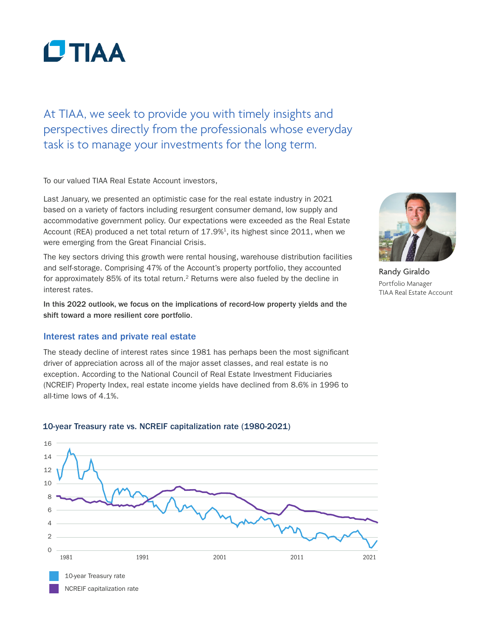

At TIAA, we seek to provide you with timely insights and perspectives directly from the professionals whose everyday task is to manage your investments for the long term.

To our valued TIAA Real Estate Account investors,

Last January, we presented an optimistic case for the real estate industry in 2021 based on a variety of factors including resurgent consumer demand, low supply and accommodative government policy. Our expectations were exceeded as the Real Estate Account (REA) produced a net total return of  $17.9\%$ <sup>1</sup>, its highest since 2011, when we were emerging from the Great Financial Crisis.

The key sectors driving this growth were rental housing, warehouse distribution facilities and self-storage. Comprising 47% of the Account's property portfolio, they accounted for approximately 85% of its total return.<sup>2</sup> Returns were also fueled by the decline in interest rates.

In this 2022 outlook, we focus on the implications of record-low property yields and the shift toward a more resilient core portfolio.

### Interest rates and private real estate

The steady decline of interest rates since 1981 has perhaps been the most significant driver of appreciation across all of the major asset classes, and real estate is no exception. According to the National Council of Real Estate Investment Fiduciaries (NCREIF) Property Index, real estate income yields have declined from 8.6% in 1996 to all-time lows of 4.1%.



Randy Giraldo Portfolio Manager TIAA Real Estate Account



### 10-year Treasury rate vs. NCREIF capitalization rate (1980-2021)

NCREIF capitalization rate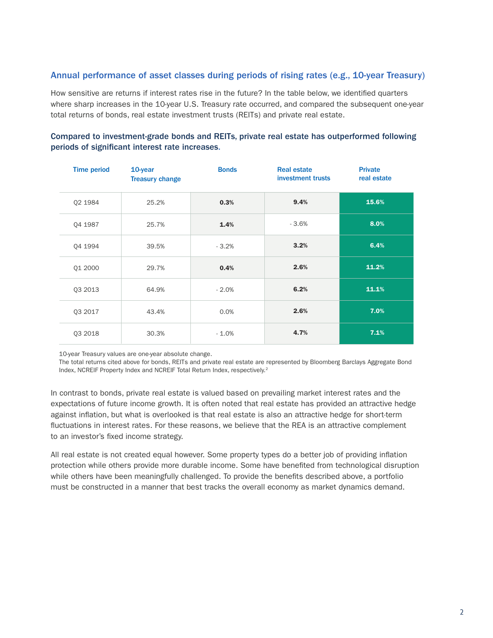# Annual performance of asset classes during periods of rising rates (e.g., 10-year Treasury)

How sensitive are returns if interest rates rise in the future? In the table below, we identified quarters where sharp increases in the 10-year U.S. Treasury rate occurred, and compared the subsequent one-year total returns of bonds, real estate investment trusts (REITs) and private real estate.

| <b>Time period</b> | 10-year<br><b>Treasury change</b> | <b>Bonds</b> | <b>Real estate</b><br>investment trusts | <b>Private</b><br>real estate |
|--------------------|-----------------------------------|--------------|-----------------------------------------|-------------------------------|
| Q2 1984            | 25.2%                             | 0.3%         | 9.4%                                    | 15.6%                         |
| Q4 1987            | 25.7%                             | 1.4%         | $-3.6%$                                 | 8.0%                          |
| Q4 1994            | 39.5%                             | $-3.2%$      | 3.2%                                    | 6.4%                          |
| Q1 2000            | 29.7%                             | 0.4%         | 2.6%                                    | 11.2%                         |
| Q3 2013            | 64.9%                             | $-2.0%$      | 6.2%                                    | 11.1%                         |
| Q3 2017            | 43.4%                             | 0.0%         | 2.6%                                    | 7.0%                          |
| Q3 2018            | 30.3%                             | $-1.0\%$     | 4.7%                                    | 7.1%                          |

### Compared to investment-grade bonds and REITs, private real estate has outperformed following periods of significant interest rate increases.

10-year Treasury values are one-year absolute change.

The total returns cited above for bonds, REITs and private real estate are represented by Bloomberg Barclays Aggregate Bond Index, NCREIF Property Index and NCREIF Total Return Index, respectively.2

In contrast to bonds, private real estate is valued based on prevailing market interest rates and the expectations of future income growth. It is often noted that real estate has provided an attractive hedge against inflation, but what is overlooked is that real estate is also an attractive hedge for short-term fluctuations in interest rates. For these reasons, we believe that the REA is an attractive complement to an investor's fixed income strategy.

All real estate is not created equal however. Some property types do a better job of providing inflation protection while others provide more durable income. Some have benefited from technological disruption while others have been meaningfully challenged. To provide the benefits described above, a portfolio must be constructed in a manner that best tracks the overall economy as market dynamics demand.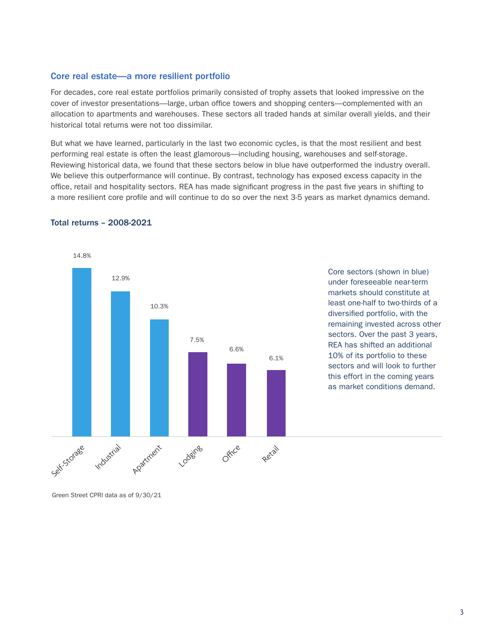### Core real estate—a more resilient portfolio

For decades, core real estate portfolios primarily consisted of trophy assets that looked impressive on the cover of investor presentations—large, urban office towers and shopping centers—complemented with an allocation to apartments and warehouses. These sectors all traded hands at similar overall yields, and their historical total returns were not too dissimilar.

But what we have learned, particularly in the last two economic cycles, is that the most resilient and best performing real estate is often the least glamorous—including housing, warehouses and self-storage. Reviewing historical data, we found that these sectors below in blue have outperformed the industry overall. We believe this outperformance will continue. By contrast, technology has exposed excess capacity in the office, retail and hospitality sectors. REA has made significant progress in the past five years in shifting to a more resilient core profile and will continue to do so over the next 3-5 years as market dynamics demand.



#### Total returns – 2008-2021

Core sectors (shown in blue) under foreseeable near-term markets should constitute at least one-half to two-thirds of a diversified portfolio, with the remaining invested across other sectors. Over the past 3 years, REA has shifted an additional 10% of its portfolio to these sectors and will look to further this effort in the coming years as market conditions demand.

Green Street CPRI data as of 9/30/21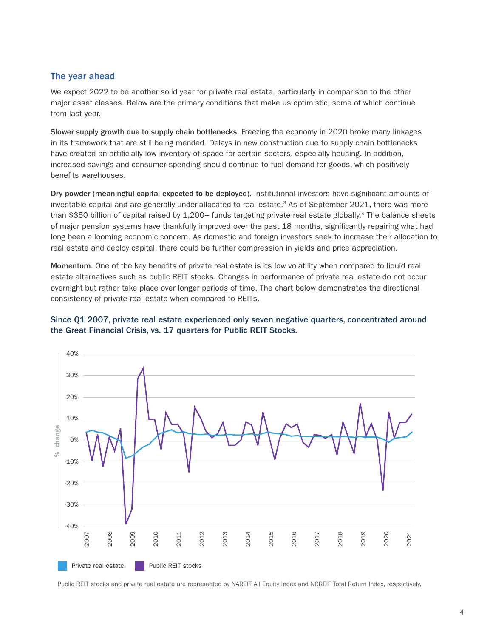### The year ahead

We expect 2022 to be another solid year for private real estate, particularly in comparison to the other major asset classes. Below are the primary conditions that make us optimistic, some of which continue from last year.

Slower supply growth due to supply chain bottlenecks. Freezing the economy in 2020 broke many linkages in its framework that are still being mended. Delays in new construction due to supply chain bottlenecks have created an artificially low inventory of space for certain sectors, especially housing. In addition, increased savings and consumer spending should continue to fuel demand for goods, which positively benefits warehouses.

Dry powder (meaningful capital expected to be deployed). Institutional investors have significant amounts of investable capital and are generally under-allocated to real estate.<sup>3</sup> As of September 2021, there was more than \$350 billion of capital raised by 1,200+ funds targeting private real estate globally.<sup>4</sup> The balance sheets of major pension systems have thankfully improved over the past 18 months, significantly repairing what had long been a looming economic concern. As domestic and foreign investors seek to increase their allocation to real estate and deploy capital, there could be further compression in yields and price appreciation.

Momentum. One of the key benefits of private real estate is its low volatility when compared to liquid real estate alternatives such as public REIT stocks. Changes in performance of private real estate do not occur overnight but rather take place over longer periods of time. The chart below demonstrates the directional consistency of private real estate when compared to REITs.



### Since Q1 2007, private real estate experienced only seven negative quarters, concentrated around the Great Financial Crisis, vs. 17 quarters for Public REIT Stocks.

Public REIT stocks and private real estate are represented by NAREIT All Equity Index and NCREIF Total Return Index, respectively.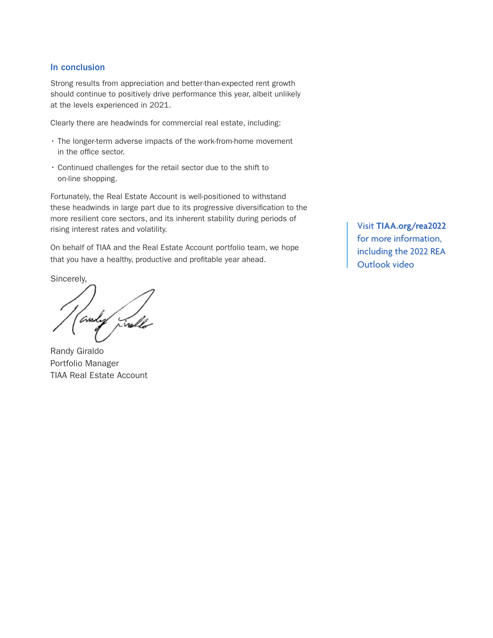## In conclusion

Strong results from appreciation and better-than-expected rent growth should continue to positively drive performance this year, albeit unlikely at the levels experienced in 2021.

Clearly there are headwinds for commercial real estate, including:

- The longer-term adverse impacts of the work-from-home movement in the office sector.
- Continued challenges for the retail sector due to the shift to on-line shopping.

Fortunately, the Real Estate Account is well-positioned to withstand these headwinds in large part due to its progressive diversification to the more resilient core sectors, and its inherent stability during periods of rising interest rates and volatility.

On behalf of TIAA and the Real Estate Account portfolio team, we hope that you have a healthy, productive and profitable year ahead.

Sincerely,

andy rivelle

Randy Giraldo Portfolio Manager TIAA Real Estate Account

Visit **TIAA.org/rea2022** for more information, including the 2022 REA Outlook video